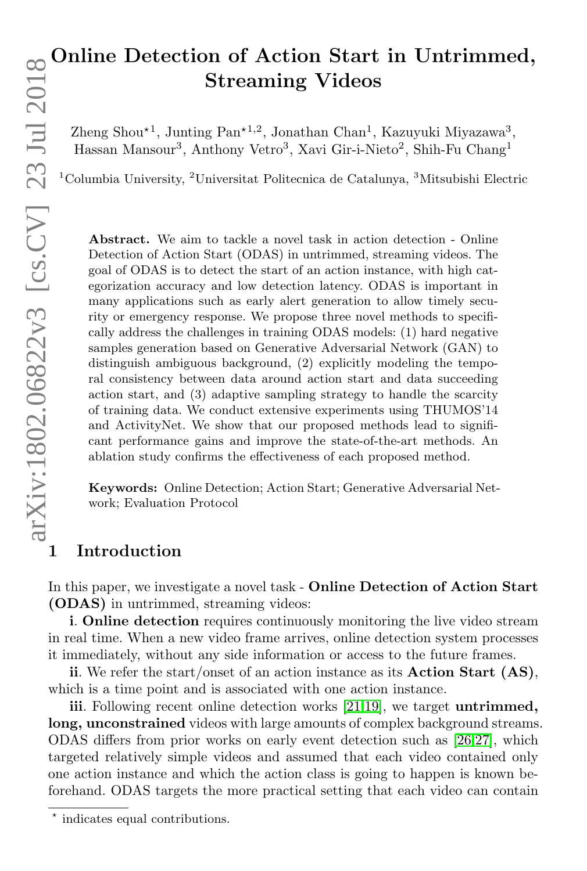# Online Detection of Action Start in Untrimmed, Streaming Videos

Zheng Shou<sup>\*1</sup>, Junting Pan<sup>\*1,2</sup>, Jonathan Chan<sup>1</sup>, Kazuyuki Miyazawa<sup>3</sup>, Hassan Mansour<sup>3</sup>, Anthony Vetro<sup>3</sup>, Xavi Gir-i-Nieto<sup>2</sup>, Shih-Fu Chang<sup>1</sup>

<sup>1</sup>Columbia University, <sup>2</sup>Universitat Politecnica de Catalunya, <sup>3</sup>Mitsubishi Electric

Abstract. We aim to tackle a novel task in action detection - Online Detection of Action Start (ODAS) in untrimmed, streaming videos. The goal of ODAS is to detect the start of an action instance, with high categorization accuracy and low detection latency. ODAS is important in many applications such as early alert generation to allow timely security or emergency response. We propose three novel methods to specifically address the challenges in training ODAS models: (1) hard negative samples generation based on Generative Adversarial Network (GAN) to distinguish ambiguous background, (2) explicitly modeling the temporal consistency between data around action start and data succeeding action start, and (3) adaptive sampling strategy to handle the scarcity of training data. We conduct extensive experiments using THUMOS'14 and ActivityNet. We show that our proposed methods lead to significant performance gains and improve the state-of-the-art methods. An ablation study confirms the effectiveness of each proposed method.

Keywords: Online Detection; Action Start; Generative Adversarial Network; Evaluation Protocol

### 1 Introduction

In this paper, we investigate a novel task - **Online Detection of Action Start** (ODAS) in untrimmed, streaming videos:

i. Online detection requires continuously monitoring the live video stream in real time. When a new video frame arrives, online detection system processes it immediately, without any side information or access to the future frames.

ii. We refer the start/onset of an action instance as its Action Start (AS), which is a time point and is associated with one action instance.

iii. Following recent online detection works [\[21,](#page-15-0)[19\]](#page-15-1), we target untrimmed, long, unconstrained videos with large amounts of complex background streams. ODAS differs from prior works on early event detection such as [\[26,](#page-16-0)[27\]](#page-16-1), which targeted relatively simple videos and assumed that each video contained only one action instance and which the action class is going to happen is known beforehand. ODAS targets the more practical setting that each video can contain

<sup>\*</sup> indicates equal contributions.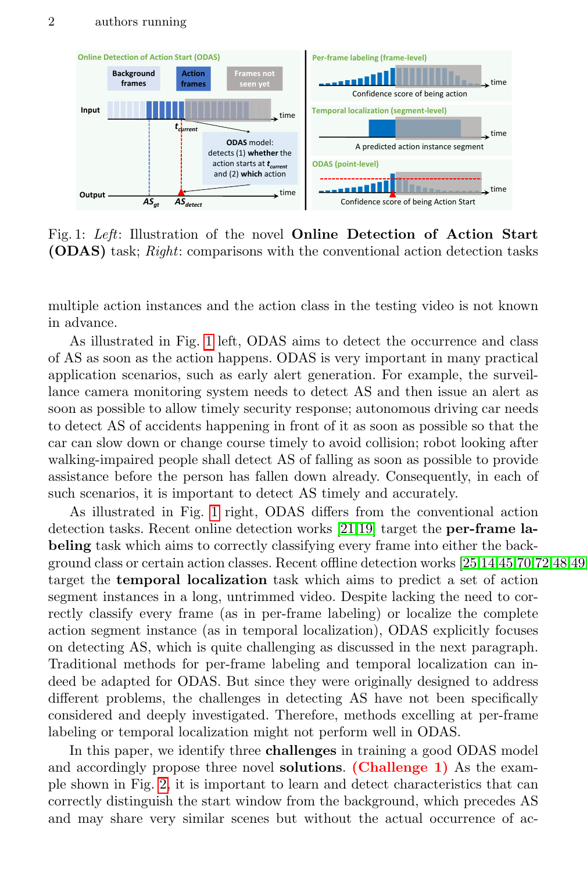<span id="page-1-0"></span>

Fig. 1: Left: Illustration of the novel Online Detection of Action Start (ODAS) task; Right: comparisons with the conventional action detection tasks

multiple action instances and the action class in the testing video is not known in advance.

As illustrated in Fig. [1](#page-1-0) left, ODAS aims to detect the occurrence and class of AS as soon as the action happens. ODAS is very important in many practical application scenarios, such as early alert generation. For example, the surveillance camera monitoring system needs to detect AS and then issue an alert as soon as possible to allow timely security response; autonomous driving car needs to detect AS of accidents happening in front of it as soon as possible so that the car can slow down or change course timely to avoid collision; robot looking after walking-impaired people shall detect AS of falling as soon as possible to provide assistance before the person has fallen down already. Consequently, in each of such scenarios, it is important to detect AS timely and accurately.

As illustrated in Fig. [1](#page-1-0) right, ODAS differs from the conventional action detection tasks. Recent online detection works [\[21,](#page-15-0)[19\]](#page-15-1) target the per-frame labeling task which aims to correctly classifying every frame into either the background class or certain action classes. Recent offline detection works  $[25,14,45,70,72,48,49]$  $[25,14,45,70,72,48,49]$  $[25,14,45,70,72,48,49]$  $[25,14,45,70,72,48,49]$  $[25,14,45,70,72,48,49]$  $[25,14,45,70,72,48,49]$  $[25,14,45,70,72,48,49]$ target the temporal localization task which aims to predict a set of action segment instances in a long, untrimmed video. Despite lacking the need to correctly classify every frame (as in per-frame labeling) or localize the complete action segment instance (as in temporal localization), ODAS explicitly focuses on detecting AS, which is quite challenging as discussed in the next paragraph. Traditional methods for per-frame labeling and temporal localization can indeed be adapted for ODAS. But since they were originally designed to address different problems, the challenges in detecting AS have not been specifically considered and deeply investigated. Therefore, methods excelling at per-frame labeling or temporal localization might not perform well in ODAS.

In this paper, we identify three challenges in training a good ODAS model and accordingly propose three novel solutions. (Challenge 1) As the example shown in Fig. [2,](#page-2-0) it is important to learn and detect characteristics that can correctly distinguish the start window from the background, which precedes AS and may share very similar scenes but without the actual occurrence of ac-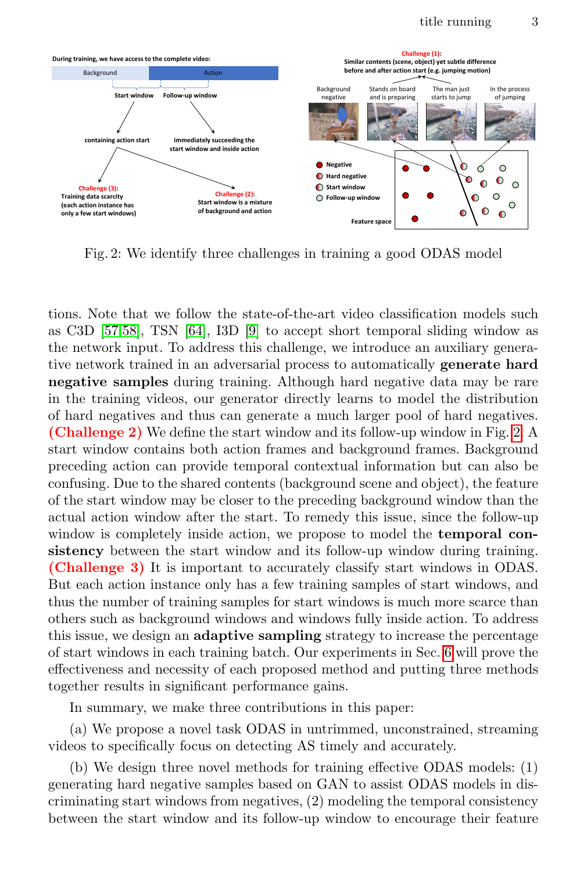<span id="page-2-0"></span>

Fig. 2: We identify three challenges in training a good ODAS model

tions. Note that we follow the state-of-the-art video classification models such as C3D [\[57,](#page-17-6)[58\]](#page-17-7), TSN [\[64\]](#page-17-8), I3D [\[9\]](#page-15-10) to accept short temporal sliding window as the network input. To address this challenge, we introduce an auxiliary generative network trained in an adversarial process to automatically generate hard negative samples during training. Although hard negative data may be rare in the training videos, our generator directly learns to model the distribution of hard negatives and thus can generate a much larger pool of hard negatives. (Challenge 2) We define the start window and its follow-up window in Fig. [2.](#page-2-0) A start window contains both action frames and background frames. Background preceding action can provide temporal contextual information but can also be confusing. Due to the shared contents (background scene and object), the feature of the start window may be closer to the preceding background window than the actual action window after the start. To remedy this issue, since the follow-up window is completely inside action, we propose to model the **temporal con**sistency between the start window and its follow-up window during training. (Challenge 3) It is important to accurately classify start windows in ODAS. But each action instance only has a few training samples of start windows, and thus the number of training samples for start windows is much more scarce than others such as background windows and windows fully inside action. To address this issue, we design an adaptive sampling strategy to increase the percentage of start windows in each training batch. Our experiments in Sec. [6](#page-10-0) will prove the effectiveness and necessity of each proposed method and putting three methods together results in significant performance gains.

In summary, we make three contributions in this paper:

(a) We propose a novel task ODAS in untrimmed, unconstrained, streaming videos to specifically focus on detecting AS timely and accurately.

(b) We design three novel methods for training effective ODAS models: (1) generating hard negative samples based on GAN to assist ODAS models in discriminating start windows from negatives, (2) modeling the temporal consistency between the start window and its follow-up window to encourage their feature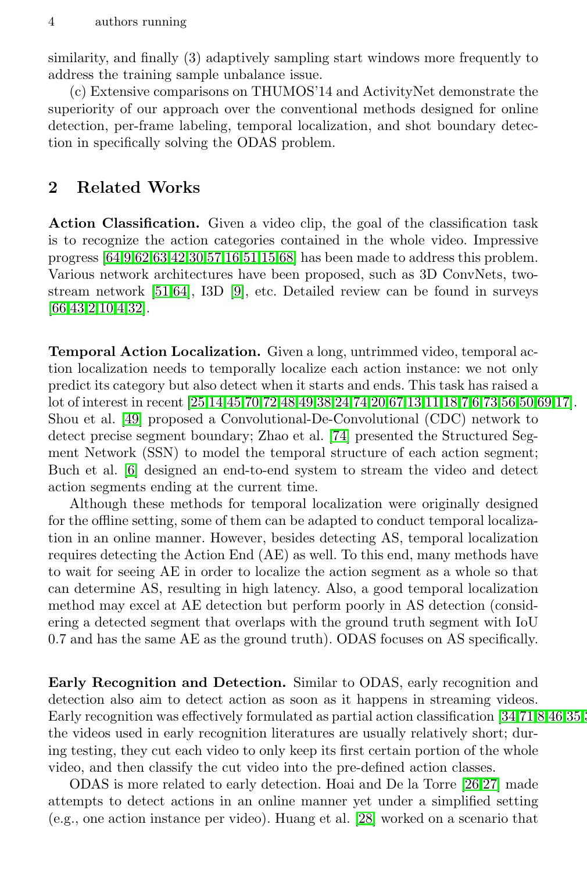similarity, and finally (3) adaptively sampling start windows more frequently to address the training sample unbalance issue.

(c) Extensive comparisons on THUMOS'14 and ActivityNet demonstrate the superiority of our approach over the conventional methods designed for online detection, per-frame labeling, temporal localization, and shot boundary detection in specifically solving the ODAS problem.

## <span id="page-3-0"></span>2 Related Works

Action Classification. Given a video clip, the goal of the classification task is to recognize the action categories contained in the whole video. Impressive progress [\[64](#page-17-8)[,9](#page-15-10)[,62](#page-17-9)[,63,](#page-17-10)[42,](#page-16-7)[30](#page-16-8)[,57,](#page-17-6)[16,](#page-15-11)[51,](#page-17-11)[15](#page-15-12)[,68\]](#page-17-12) has been made to address this problem. Various network architectures have been proposed, such as 3D ConvNets, twostream network [\[51](#page-17-11)[,64\]](#page-17-8), I3D [\[9\]](#page-15-10), etc. Detailed review can be found in surveys [\[66,](#page-17-13)[43](#page-16-9)[,2](#page-15-13)[,10,](#page-15-14)[4](#page-15-15)[,32\]](#page-16-10).

Temporal Action Localization. Given a long, untrimmed video, temporal action localization needs to temporally localize each action instance: we not only predict its category but also detect when it starts and ends. This task has raised a lot of interest in recent [\[25,](#page-16-2)[14](#page-15-2)[,45,](#page-16-3)[70,](#page-17-0)[72](#page-18-0)[,48,](#page-16-4)[49,](#page-17-1)[38,](#page-16-5)[24](#page-16-6)[,74,](#page-18-1)[20,](#page-15-3)[67,](#page-17-2)[13,](#page-15-4)[11,](#page-15-5)[18,](#page-15-6)[7,](#page-15-7)[6,](#page-15-8)[73,](#page-18-2)[56,](#page-17-3)[50](#page-17-4)[,69,](#page-17-5)[17\]](#page-15-9). Shou et al. [\[49\]](#page-17-1) proposed a Convolutional-De-Convolutional (CDC) network to detect precise segment boundary; Zhao et al. [\[74\]](#page-18-1) presented the Structured Segment Network (SSN) to model the temporal structure of each action segment; Buch et al. [\[6\]](#page-15-8) designed an end-to-end system to stream the video and detect action segments ending at the current time.

Although these methods for temporal localization were originally designed for the offline setting, some of them can be adapted to conduct temporal localization in an online manner. However, besides detecting AS, temporal localization requires detecting the Action End (AE) as well. To this end, many methods have to wait for seeing AE in order to localize the action segment as a whole so that can determine AS, resulting in high latency. Also, a good temporal localization method may excel at AE detection but perform poorly in AS detection (considering a detected segment that overlaps with the ground truth segment with IoU 0.7 and has the same AE as the ground truth). ODAS focuses on AS specifically.

Early Recognition and Detection. Similar to ODAS, early recognition and detection also aim to detect action as soon as it happens in streaming videos. Early recognition was effectively formulated as partial action classification  $[34,71,8,46,35]$  $[34,71,8,46,35]$  $[34,71,8,46,35]$  $[34,71,8,46,35]$  $[34,71,8,46,35]$ . the videos used in early recognition literatures are usually relatively short; during testing, they cut each video to only keep its first certain portion of the whole video, and then classify the cut video into the pre-defined action classes.

ODAS is more related to early detection. Hoai and De la Torre [\[26,](#page-16-0)[27\]](#page-16-1) made attempts to detect actions in an online manner yet under a simplified setting (e.g., one action instance per video). Huang et al. [\[28\]](#page-16-15) worked on a scenario that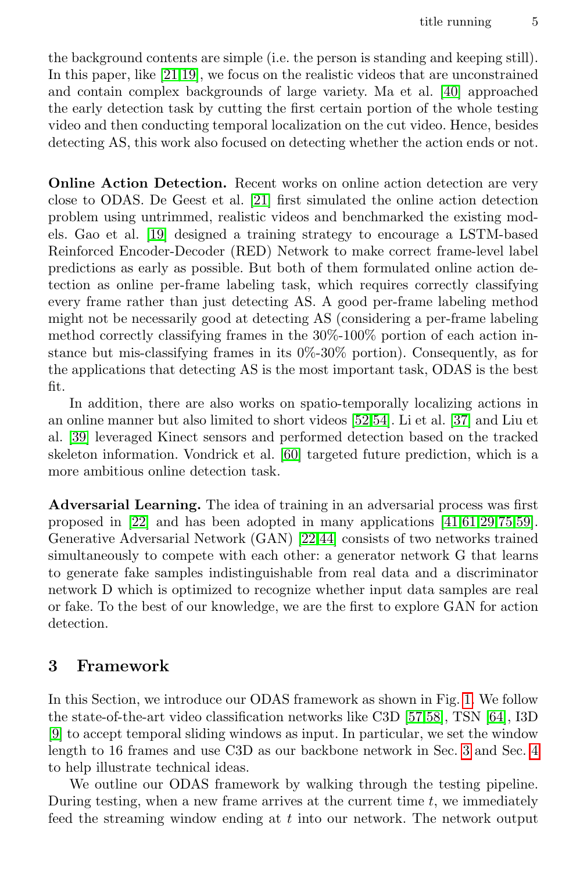the background contents are simple (i.e. the person is standing and keeping still). In this paper, like [\[21](#page-15-0)[,19\]](#page-15-1), we focus on the realistic videos that are unconstrained and contain complex backgrounds of large variety. Ma et al. [\[40\]](#page-16-16) approached the early detection task by cutting the first certain portion of the whole testing video and then conducting temporal localization on the cut video. Hence, besides detecting AS, this work also focused on detecting whether the action ends or not.

Online Action Detection. Recent works on online action detection are very close to ODAS. De Geest et al. [\[21\]](#page-15-0) first simulated the online action detection problem using untrimmed, realistic videos and benchmarked the existing models. Gao et al. [\[19\]](#page-15-1) designed a training strategy to encourage a LSTM-based Reinforced Encoder-Decoder (RED) Network to make correct frame-level label predictions as early as possible. But both of them formulated online action detection as online per-frame labeling task, which requires correctly classifying every frame rather than just detecting AS. A good per-frame labeling method might not be necessarily good at detecting AS (considering a per-frame labeling method correctly classifying frames in the 30%-100% portion of each action instance but mis-classifying frames in its 0%-30% portion). Consequently, as for the applications that detecting AS is the most important task, ODAS is the best fit.

In addition, there are also works on spatio-temporally localizing actions in an online manner but also limited to short videos [\[52](#page-17-15)[,54\]](#page-17-16). Li et al. [\[37\]](#page-16-17) and Liu et al. [\[39\]](#page-16-18) leveraged Kinect sensors and performed detection based on the tracked skeleton information. Vondrick et al. [\[60\]](#page-17-17) targeted future prediction, which is a more ambitious online detection task.

Adversarial Learning. The idea of training in an adversarial process was first proposed in [\[22\]](#page-15-18) and has been adopted in many applications [\[41](#page-16-19)[,61,](#page-17-18)[29,](#page-16-20)[75,](#page-18-3)[59\]](#page-17-19). Generative Adversarial Network (GAN) [\[22,](#page-15-18)[44\]](#page-16-21) consists of two networks trained simultaneously to compete with each other: a generator network G that learns to generate fake samples indistinguishable from real data and a discriminator network D which is optimized to recognize whether input data samples are real or fake. To the best of our knowledge, we are the first to explore GAN for action detection.

### <span id="page-4-0"></span>3 Framework

In this Section, we introduce our ODAS framework as shown in Fig. [1.](#page-1-0) We follow the state-of-the-art video classification networks like C3D [\[57,](#page-17-6)[58\]](#page-17-7), TSN [\[64\]](#page-17-8), I3D [\[9\]](#page-15-10) to accept temporal sliding windows as input. In particular, we set the window length to 16 frames and use C3D as our backbone network in Sec. [3](#page-4-0) and Sec. [4](#page-5-0) to help illustrate technical ideas.

We outline our ODAS framework by walking through the testing pipeline. During testing, when a new frame arrives at the current time  $t$ , we immediately feed the streaming window ending at t into our network. The network output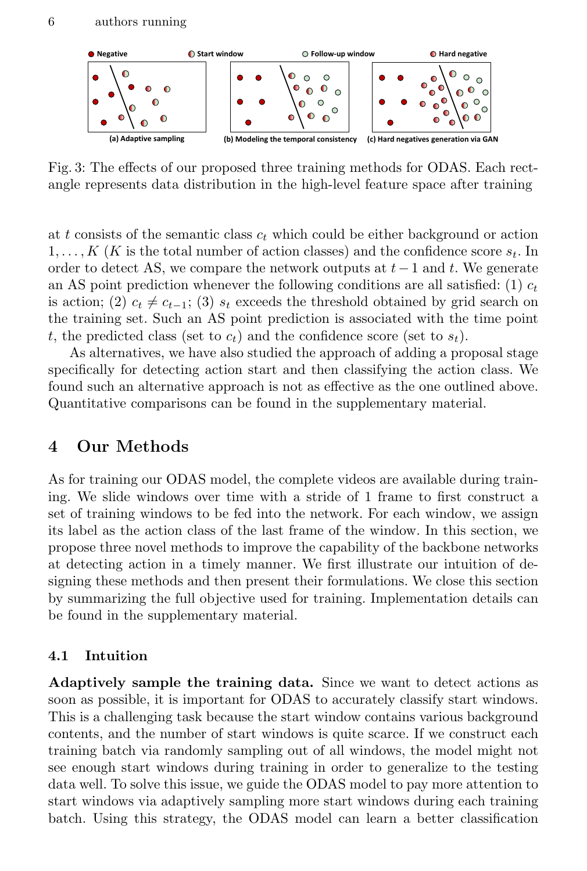<span id="page-5-1"></span>

Fig. 3: The effects of our proposed three training methods for ODAS. Each rectangle represents data distribution in the high-level feature space after training

at t consists of the semantic class  $c_t$  which could be either background or action  $1, \ldots, K$  (K is the total number of action classes) and the confidence score  $s_t$ . In order to detect AS, we compare the network outputs at  $t-1$  and t. We generate an AS point prediction whenever the following conditions are all satisfied: (1)  $c_t$ is action; (2)  $c_t \neq c_{t-1}$ ; (3)  $s_t$  exceeds the threshold obtained by grid search on the training set. Such an AS point prediction is associated with the time point t, the predicted class (set to  $c_t$ ) and the confidence score (set to  $s_t$ ).

As alternatives, we have also studied the approach of adding a proposal stage specifically for detecting action start and then classifying the action class. We found such an alternative approach is not as effective as the one outlined above. Quantitative comparisons can be found in the supplementary material.

### <span id="page-5-0"></span>4 Our Methods

As for training our ODAS model, the complete videos are available during training. We slide windows over time with a stride of 1 frame to first construct a set of training windows to be fed into the network. For each window, we assign its label as the action class of the last frame of the window. In this section, we propose three novel methods to improve the capability of the backbone networks at detecting action in a timely manner. We first illustrate our intuition of designing these methods and then present their formulations. We close this section by summarizing the full objective used for training. Implementation details can be found in the supplementary material.

#### 4.1 Intuition

Adaptively sample the training data. Since we want to detect actions as soon as possible, it is important for ODAS to accurately classify start windows. This is a challenging task because the start window contains various background contents, and the number of start windows is quite scarce. If we construct each training batch via randomly sampling out of all windows, the model might not see enough start windows during training in order to generalize to the testing data well. To solve this issue, we guide the ODAS model to pay more attention to start windows via adaptively sampling more start windows during each training batch. Using this strategy, the ODAS model can learn a better classification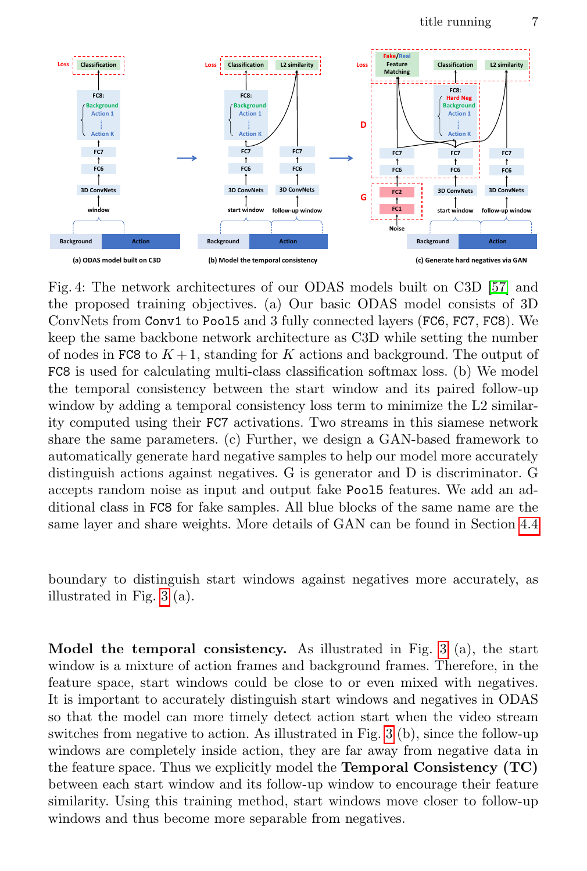<span id="page-6-0"></span>

Fig. 4: The network architectures of our ODAS models built on C3D [\[57\]](#page-17-6) and the proposed training objectives. (a) Our basic ODAS model consists of 3D ConvNets from Conv1 to Pool5 and 3 fully connected layers (FC6, FC7, FC8). We keep the same backbone network architecture as C3D while setting the number of nodes in FC8 to  $K + 1$ , standing for K actions and background. The output of FC8 is used for calculating multi-class classification softmax loss. (b) We model the temporal consistency between the start window and its paired follow-up window by adding a temporal consistency loss term to minimize the L2 similarity computed using their FC7 activations. Two streams in this siamese network share the same parameters. (c) Further, we design a GAN-based framework to automatically generate hard negative samples to help our model more accurately distinguish actions against negatives. G is generator and D is discriminator. G accepts random noise as input and output fake Pool5 features. We add an additional class in FC8 for fake samples. All blue blocks of the same name are the same layer and share weights. More details of GAN can be found in Section [4.4](#page-8-0)

boundary to distinguish start windows against negatives more accurately, as illustrated in Fig. [3](#page-5-1) (a).

Model the temporal consistency. As illustrated in Fig.  $3$  (a), the start window is a mixture of action frames and background frames. Therefore, in the feature space, start windows could be close to or even mixed with negatives. It is important to accurately distinguish start windows and negatives in ODAS so that the model can more timely detect action start when the video stream switches from negative to action. As illustrated in Fig. [3](#page-5-1) (b), since the follow-up windows are completely inside action, they are far away from negative data in the feature space. Thus we explicitly model the Temporal Consistency (TC) between each start window and its follow-up window to encourage their feature similarity. Using this training method, start windows move closer to follow-up windows and thus become more separable from negatives.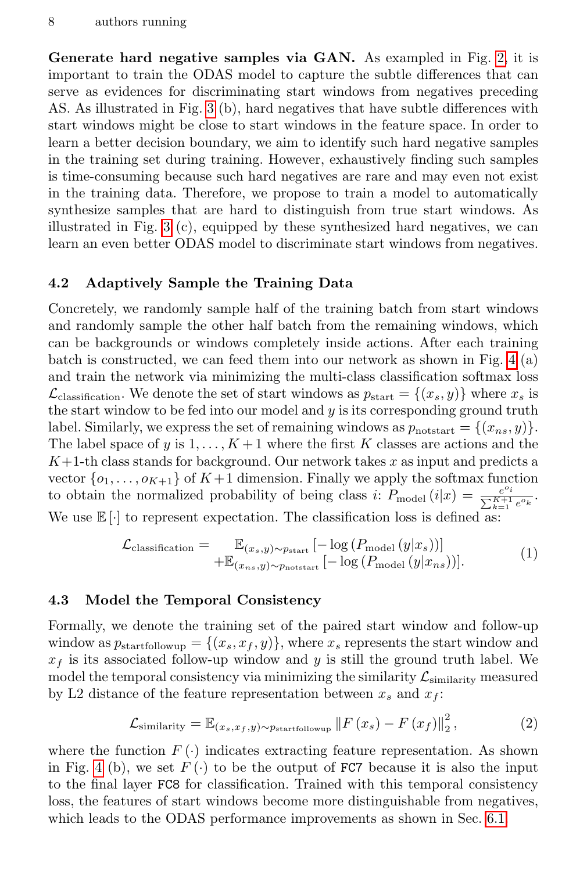Generate hard negative samples via GAN. As exampled in Fig. [2,](#page-2-0) it is important to train the ODAS model to capture the subtle differences that can serve as evidences for discriminating start windows from negatives preceding AS. As illustrated in Fig. [3](#page-5-1) (b), hard negatives that have subtle differences with start windows might be close to start windows in the feature space. In order to learn a better decision boundary, we aim to identify such hard negative samples in the training set during training. However, exhaustively finding such samples is time-consuming because such hard negatives are rare and may even not exist in the training data. Therefore, we propose to train a model to automatically synthesize samples that are hard to distinguish from true start windows. As illustrated in Fig. [3](#page-5-1) (c), equipped by these synthesized hard negatives, we can learn an even better ODAS model to discriminate start windows from negatives.

#### 4.2 Adaptively Sample the Training Data

Concretely, we randomly sample half of the training batch from start windows and randomly sample the other half batch from the remaining windows, which can be backgrounds or windows completely inside actions. After each training batch is constructed, we can feed them into our network as shown in Fig. [4](#page-6-0) (a) and train the network via minimizing the multi-class classification softmax loss  $\mathcal{L}_{classification}$ . We denote the set of start windows as  $p_{start} = \{(x_s, y)\}\$  where  $x_s$  is the start window to be fed into our model and  $y$  is its corresponding ground truth label. Similarly, we express the set of remaining windows as  $p_{\text{notstart}} = \{(x_{ns}, y)\}.$ The label space of y is  $1, \ldots, K+1$  where the first K classes are actions and the  $K+1$ -th class stands for background. Our network takes x as input and predicts a vector  $\{o_1, \ldots, o_{K+1}\}\$  of  $K+1$  dimension. Finally we apply the softmax function to obtain the normalized probability of being class i:  $P_{\text{model}}(i|x) = \frac{e^{o_i}}{\nabla^{K+1}}$  $\frac{e^{c_i}}{\sum_{k=1}^{K+1} e^{c_k}}$ . We use  $\mathbb{E}[\cdot]$  to represent expectation. The classification loss is defined as:

<span id="page-7-0"></span>
$$
\mathcal{L}_{\text{classification}} = \mathbb{E}_{(x_s, y) \sim p_{\text{start}}} [-\log (P_{\text{model}}(y|x_s))]
$$
  
 
$$
+ \mathbb{E}_{(x_{ns}, y) \sim p_{\text{notstart}}} [-\log (P_{\text{model}}(y|x_{ns}))].
$$
 (1)

#### 4.3 Model the Temporal Consistency

Formally, we denote the training set of the paired start window and follow-up window as  $p_{\text{startfollowup}} = \{(x_s, x_f, y)\}\$ , where  $x_s$  represents the start window and  $x_f$  is its associated follow-up window and y is still the ground truth label. We model the temporal consistency via minimizing the similarity  $\mathcal{L}_{similarity}$  measured by L2 distance of the feature representation between  $x_s$  and  $x_f$ :

<span id="page-7-1"></span>
$$
\mathcal{L}_{\text{similarity}} = \mathbb{E}_{(x_s, x_f, y) \sim p_{\text{startfollowup}}} ||F(x_s) - F(x_f)||_2^2, \tag{2}
$$

where the function  $F(\cdot)$  indicates extracting feature representation. As shown in Fig. [4](#page-6-0) (b), we set  $F(\cdot)$  to be the output of FC7 because it is also the input to the final layer FC8 for classification. Trained with this temporal consistency loss, the features of start windows become more distinguishable from negatives, which leads to the ODAS performance improvements as shown in Sec. [6.1.](#page-12-0)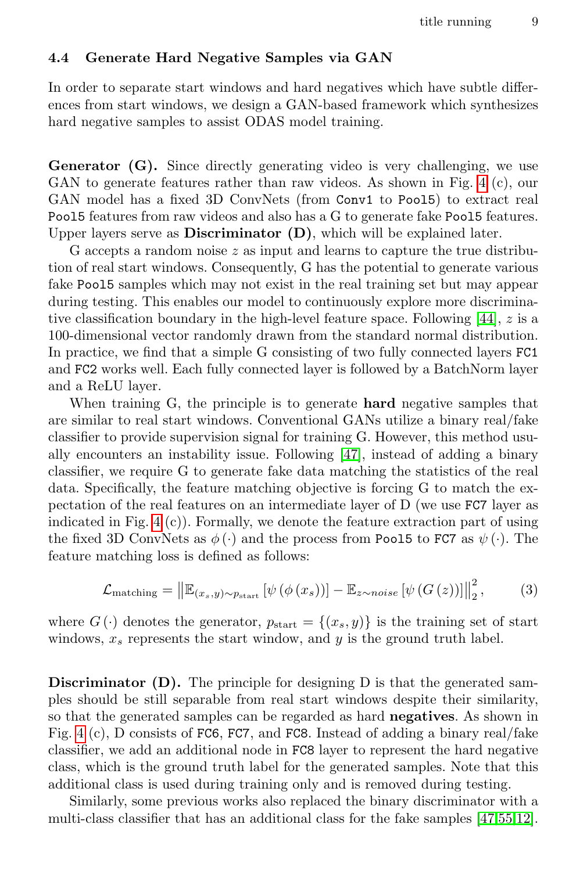#### <span id="page-8-0"></span>4.4 Generate Hard Negative Samples via GAN

In order to separate start windows and hard negatives which have subtle differences from start windows, we design a GAN-based framework which synthesizes hard negative samples to assist ODAS model training.

Generator (G). Since directly generating video is very challenging, we use GAN to generate features rather than raw videos. As shown in Fig. [4](#page-6-0) (c), our GAN model has a fixed 3D ConvNets (from Conv1 to Poo15) to extract real Pool5 features from raw videos and also has a G to generate fake Pool5 features. Upper layers serve as **Discriminator**  $(D)$ , which will be explained later.

G accepts a random noise  $z$  as input and learns to capture the true distribution of real start windows. Consequently, G has the potential to generate various fake Pool5 samples which may not exist in the real training set but may appear during testing. This enables our model to continuously explore more discriminative classification boundary in the high-level feature space. Following [\[44\]](#page-16-21), z is a 100-dimensional vector randomly drawn from the standard normal distribution. In practice, we find that a simple G consisting of two fully connected layers FC1 and FC2 works well. Each fully connected layer is followed by a BatchNorm layer and a ReLU layer.

When training G, the principle is to generate **hard** negative samples that are similar to real start windows. Conventional GANs utilize a binary real/fake classifier to provide supervision signal for training G. However, this method usually encounters an instability issue. Following [\[47\]](#page-16-22), instead of adding a binary classifier, we require G to generate fake data matching the statistics of the real data. Specifically, the feature matching objective is forcing G to match the expectation of the real features on an intermediate layer of D (we use FC7 layer as indicated in Fig.  $4(c)$ . Formally, we denote the feature extraction part of using the fixed 3D ConvNets as  $\phi(\cdot)$  and the process from Pool5 to FC7 as  $\psi(\cdot)$ . The feature matching loss is defined as follows:

<span id="page-8-1"></span>
$$
\mathcal{L}_{\text{matching}} = \left\| \mathbb{E}_{(x_s, y) \sim p_{\text{start}}} \left[ \psi \left( \phi \left( x_s \right) \right) \right] - \mathbb{E}_{z \sim noise} \left[ \psi \left( G \left( z \right) \right) \right] \right\|_2^2, \tag{3}
$$

where  $G(\cdot)$  denotes the generator,  $p_{\text{start}} = \{(x_s, y)\}\$ is the training set of start windows,  $x_s$  represents the start window, and y is the ground truth label.

**Discriminator** (D). The principle for designing D is that the generated samples should be still separable from real start windows despite their similarity, so that the generated samples can be regarded as hard **negatives**. As shown in Fig. [4](#page-6-0) (c), D consists of FC6, FC7, and FC8. Instead of adding a binary real/fake classifier, we add an additional node in FC8 layer to represent the hard negative class, which is the ground truth label for the generated samples. Note that this additional class is used during training only and is removed during testing.

Similarly, some previous works also replaced the binary discriminator with a multi-class classifier that has an additional class for the fake samples [\[47,](#page-16-22)[55,](#page-17-20)[12\]](#page-15-19).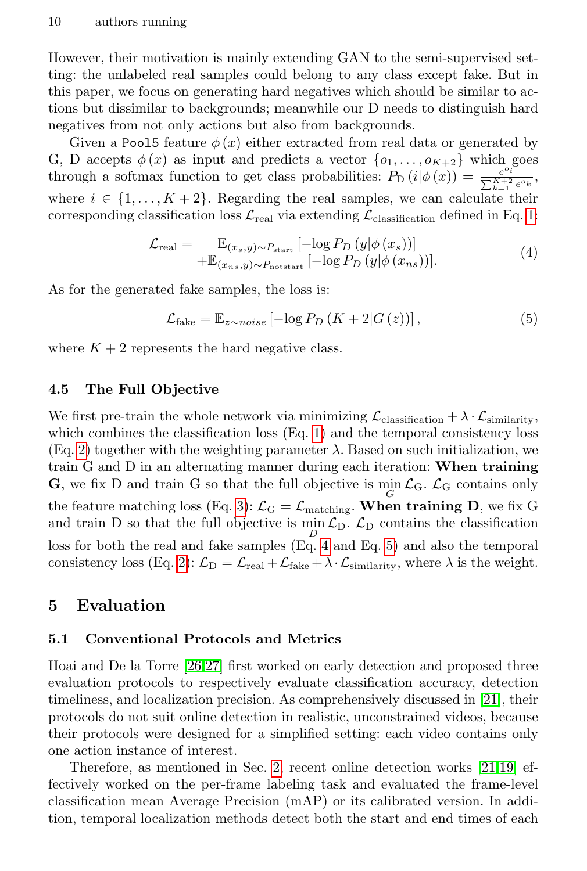However, their motivation is mainly extending GAN to the semi-supervised setting: the unlabeled real samples could belong to any class except fake. But in this paper, we focus on generating hard negatives which should be similar to actions but dissimilar to backgrounds; meanwhile our D needs to distinguish hard negatives from not only actions but also from backgrounds.

Given a Pool5 feature  $\phi(x)$  either extracted from real data or generated by G, D accepts  $\phi(x)$  as input and predicts a vector  $\{o_1, \ldots, o_{K+2}\}\$  which goes through a softmax function to get class probabilities:  $P_D(i|\phi(x)) = \frac{e^{\alpha_i}}{\nabla^{K+2}}$  $\frac{e^{-i}}{\sum_{k=1}^{K+2} e^{o_k}},$ where  $i \in \{1, ..., K+2\}$ . Regarding the real samples, we can calculate their corresponding classification loss  $\mathcal{L}_{\text{real}}$  via extending  $\mathcal{L}_{\text{classification}}$  defined in Eq. [1:](#page-7-0)

<span id="page-9-0"></span>
$$
\mathcal{L}_{\text{real}} = \mathbb{E}_{(x_s, y) \sim P_{\text{start}}} [-\log P_D(y|\phi(x_s))]
$$
  
 
$$
+ \mathbb{E}_{(x_{ns}, y) \sim P_{\text{notstart}}} [-\log P_D(y|\phi(x_{ns}))].
$$
 (4)

As for the generated fake samples, the loss is:

<span id="page-9-1"></span>
$$
\mathcal{L}_{\text{fake}} = \mathbb{E}_{z \sim noise} \left[ -\log P_D \left( K + 2|G(z) \right) \right],\tag{5}
$$

where  $K + 2$  represents the hard negative class.

### 4.5 The Full Objective

We first pre-train the whole network via minimizing  $\mathcal{L}_{classification} + \lambda \cdot \mathcal{L}_{similarity}$ , which combines the classification loss (Eq. [1\)](#page-7-0) and the temporal consistency loss (Eq. [2\)](#page-7-1) together with the weighting parameter  $\lambda$ . Based on such initialization, we train G and D in an alternating manner during each iteration: When training **G**, we fix D and train G so that the full objective is  $\min_{G} \mathcal{L}_G$ .  $\mathcal{L}_G$  contains only the feature matching loss (Eq. [3\)](#page-8-1):  $\mathcal{L}_G = \mathcal{L}_{\text{matching}}$ . When training D, we fix G and train D so that the full objective is  $\min_{D} \mathcal{L}_{D}$ .  $\mathcal{L}_{D}$  contains the classification loss for both the real and fake samples (Eq. [4](#page-9-0) and Eq. [5\)](#page-9-1) and also the temporal consistency loss (Eq. [2\)](#page-7-1):  $\mathcal{L}_D = \mathcal{L}_{\text{real}} + \mathcal{L}_{\text{fake}} + \lambda \cdot \mathcal{L}_{\text{similarity}}$ , where  $\lambda$  is the weight.

### 5 Evaluation

### 5.1 Conventional Protocols and Metrics

Hoai and De la Torre [\[26,](#page-16-0)[27\]](#page-16-1) first worked on early detection and proposed three evaluation protocols to respectively evaluate classification accuracy, detection timeliness, and localization precision. As comprehensively discussed in [\[21\]](#page-15-0), their protocols do not suit online detection in realistic, unconstrained videos, because their protocols were designed for a simplified setting: each video contains only one action instance of interest.

Therefore, as mentioned in Sec. [2,](#page-3-0) recent online detection works [\[21,](#page-15-0)[19\]](#page-15-1) effectively worked on the per-frame labeling task and evaluated the frame-level classification mean Average Precision (mAP) or its calibrated version. In addition, temporal localization methods detect both the start and end times of each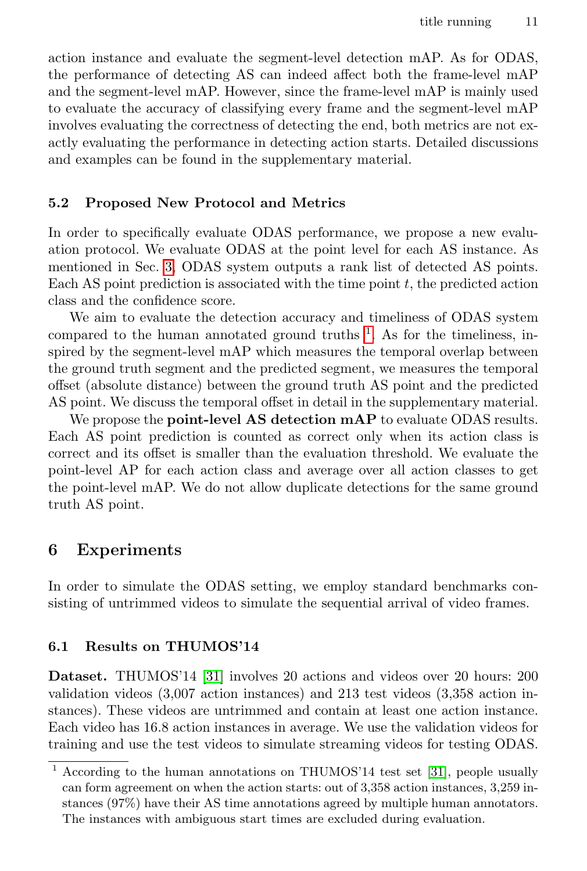action instance and evaluate the segment-level detection mAP. As for ODAS, the performance of detecting AS can indeed affect both the frame-level mAP and the segment-level mAP. However, since the frame-level mAP is mainly used to evaluate the accuracy of classifying every frame and the segment-level mAP involves evaluating the correctness of detecting the end, both metrics are not exactly evaluating the performance in detecting action starts. Detailed discussions and examples can be found in the supplementary material.

### 5.2 Proposed New Protocol and Metrics

In order to specifically evaluate ODAS performance, we propose a new evaluation protocol. We evaluate ODAS at the point level for each AS instance. As mentioned in Sec. [3,](#page-4-0) ODAS system outputs a rank list of detected AS points. Each AS point prediction is associated with the time point  $t$ , the predicted action class and the confidence score.

We aim to evaluate the detection accuracy and timeliness of ODAS system compared to the human annotated ground truths  $\frac{1}{1}$  $\frac{1}{1}$  $\frac{1}{1}$ . As for the timeliness, inspired by the segment-level mAP which measures the temporal overlap between the ground truth segment and the predicted segment, we measures the temporal offset (absolute distance) between the ground truth AS point and the predicted AS point. We discuss the temporal offset in detail in the supplementary material.

We propose the **point-level AS detection mAP** to evaluate ODAS results. Each AS point prediction is counted as correct only when its action class is correct and its offset is smaller than the evaluation threshold. We evaluate the point-level AP for each action class and average over all action classes to get the point-level mAP. We do not allow duplicate detections for the same ground truth AS point.

### <span id="page-10-0"></span>6 Experiments

In order to simulate the ODAS setting, we employ standard benchmarks consisting of untrimmed videos to simulate the sequential arrival of video frames.

#### 6.1 Results on THUMOS'14

Dataset. THUMOS'14 [\[31\]](#page-16-23) involves 20 actions and videos over 20 hours: 200 validation videos (3,007 action instances) and 213 test videos (3,358 action instances). These videos are untrimmed and contain at least one action instance. Each video has 16.8 action instances in average. We use the validation videos for training and use the test videos to simulate streaming videos for testing ODAS.

<span id="page-10-1"></span><sup>1</sup> According to the human annotations on THUMOS'14 test set [\[31\]](#page-16-23), people usually can form agreement on when the action starts: out of 3,358 action instances, 3,259 instances (97%) have their AS time annotations agreed by multiple human annotators. The instances with ambiguous start times are excluded during evaluation.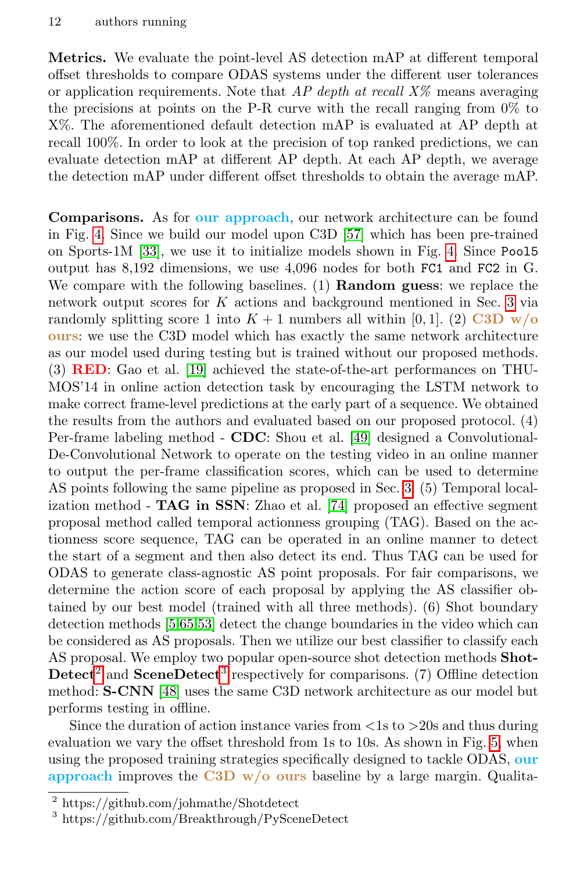Metrics. We evaluate the point-level AS detection mAP at different temporal offset thresholds to compare ODAS systems under the different user tolerances or application requirements. Note that  $AP$  depth at recall  $X\%$  means averaging the precisions at points on the P-R curve with the recall ranging from 0% to X%. The aforementioned default detection mAP is evaluated at AP depth at recall 100%. In order to look at the precision of top ranked predictions, we can evaluate detection mAP at different AP depth. At each AP depth, we average the detection mAP under different offset thresholds to obtain the average mAP.

Comparisons. As for our approach, our network architecture can be found in Fig. [4.](#page-6-0) Since we build our model upon C3D [\[57\]](#page-17-6) which has been pre-trained on Sports-1M [\[33\]](#page-16-24), we use it to initialize models shown in Fig. [4.](#page-6-0) Since Pool5 output has 8,192 dimensions, we use 4,096 nodes for both FC1 and FC2 in G. We compare with the following baselines. (1) **Random guess**: we replace the network output scores for K actions and background mentioned in Sec. [3](#page-4-0) via randomly splitting score 1 into  $K + 1$  numbers all within [0, 1]. (2) C3D w/o ours: we use the C3D model which has exactly the same network architecture as our model used during testing but is trained without our proposed methods. (3) RED: Gao et al. [\[19\]](#page-15-1) achieved the state-of-the-art performances on THU-MOS'14 in online action detection task by encouraging the LSTM network to make correct frame-level predictions at the early part of a sequence. We obtained the results from the authors and evaluated based on our proposed protocol. (4) Per-frame labeling method - CDC: Shou et al. [\[49\]](#page-17-1) designed a Convolutional-De-Convolutional Network to operate on the testing video in an online manner to output the per-frame classification scores, which can be used to determine AS points following the same pipeline as proposed in Sec. [3.](#page-4-0) (5) Temporal localization method - TAG in SSN: Zhao et al. [\[74\]](#page-18-1) proposed an effective segment proposal method called temporal actionness grouping (TAG). Based on the actionness score sequence, TAG can be operated in an online manner to detect the start of a segment and then also detect its end. Thus TAG can be used for ODAS to generate class-agnostic AS point proposals. For fair comparisons, we determine the action score of each proposal by applying the AS classifier obtained by our best model (trained with all three methods). (6) Shot boundary detection methods [\[5,](#page-15-20)[65,](#page-17-21)[53\]](#page-17-22) detect the change boundaries in the video which can be considered as AS proposals. Then we utilize our best classifier to classify each AS proposal. We employ two popular open-source shot detection methods Shot- $\mathbf{Detect}^2$  $\mathbf{Detect}^2$  and  $\mathbf{SceneDetect}^3$  $\mathbf{SceneDetect}^3$  respectively for comparisons. (7) Offline detection method: S-CNN [\[48\]](#page-16-4) uses the same C3D network architecture as our model but performs testing in offline.

Since the duration of action instance varies from  $\langle 1s \rangle$  to  $>20$ s and thus during evaluation we vary the offset threshold from 1s to 10s. As shown in Fig. [5,](#page-12-1) when using the proposed training strategies specifically designed to tackle ODAS, our approach improves the C3D  $w/o$  ours baseline by a large margin. Qualita-

<span id="page-11-0"></span><sup>2</sup> https://github.com/johmathe/Shotdetect

<span id="page-11-1"></span><sup>3</sup> https://github.com/Breakthrough/PySceneDetect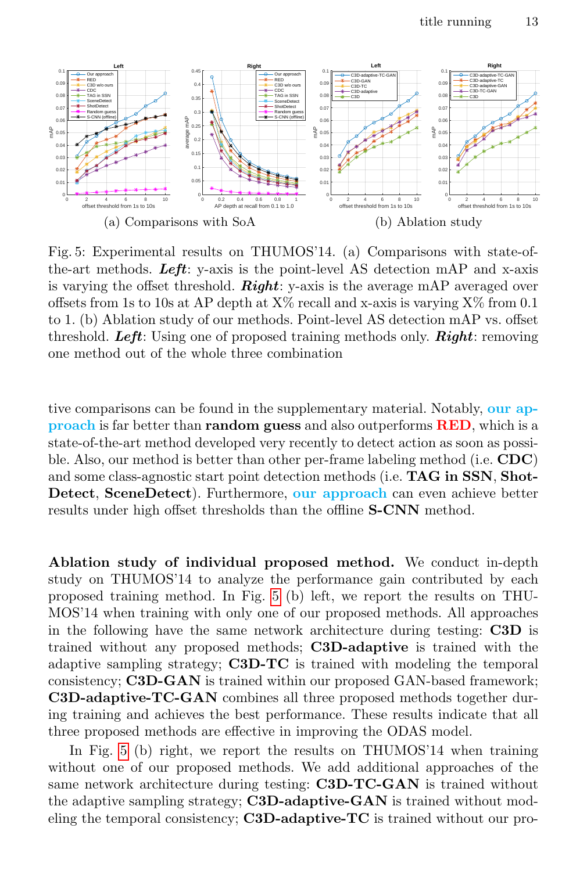<span id="page-12-1"></span>

Fig. 5: Experimental results on THUMOS'14. (a) Comparisons with state-ofthe-art methods. Left: y-axis is the point-level AS detection mAP and x-axis is varying the offset threshold. **Right**: y-axis is the average mAP averaged over offsets from 1s to 10s at AP depth at  $X\%$  recall and x-axis is varying  $X\%$  from 0.1 to 1. (b) Ablation study of our methods. Point-level AS detection mAP vs. offset threshold. Left: Using one of proposed training methods only. **Right:** removing one method out of the whole three combination

tive comparisons can be found in the supplementary material. Notably, our approach is far better than **random guess** and also outperforms **RED**, which is a state-of-the-art method developed very recently to detect action as soon as possible. Also, our method is better than other per-frame labeling method (i.e. CDC) and some class-agnostic start point detection methods (i.e. **TAG in SSN, Shot-**Detect, SceneDetect). Furthermore, our approach can even achieve better results under high offset thresholds than the offline S-CNN method.

<span id="page-12-0"></span>Ablation study of individual proposed method. We conduct in-depth study on THUMOS'14 to analyze the performance gain contributed by each proposed training method. In Fig. [5](#page-12-1) (b) left, we report the results on THU-MOS'14 when training with only one of our proposed methods. All approaches in the following have the same network architecture during testing: C3D is trained without any proposed methods; C3D-adaptive is trained with the adaptive sampling strategy;  $C3D-TC$  is trained with modeling the temporal consistency; C3D-GAN is trained within our proposed GAN-based framework; C3D-adaptive-TC-GAN combines all three proposed methods together during training and achieves the best performance. These results indicate that all three proposed methods are effective in improving the ODAS model.

In Fig. [5](#page-12-1) (b) right, we report the results on THUMOS'14 when training without one of our proposed methods. We add additional approaches of the same network architecture during testing: C3D-TC-GAN is trained without the adaptive sampling strategy; C3D-adaptive-GAN is trained without modeling the temporal consistency; C3D-adaptive-TC is trained without our pro-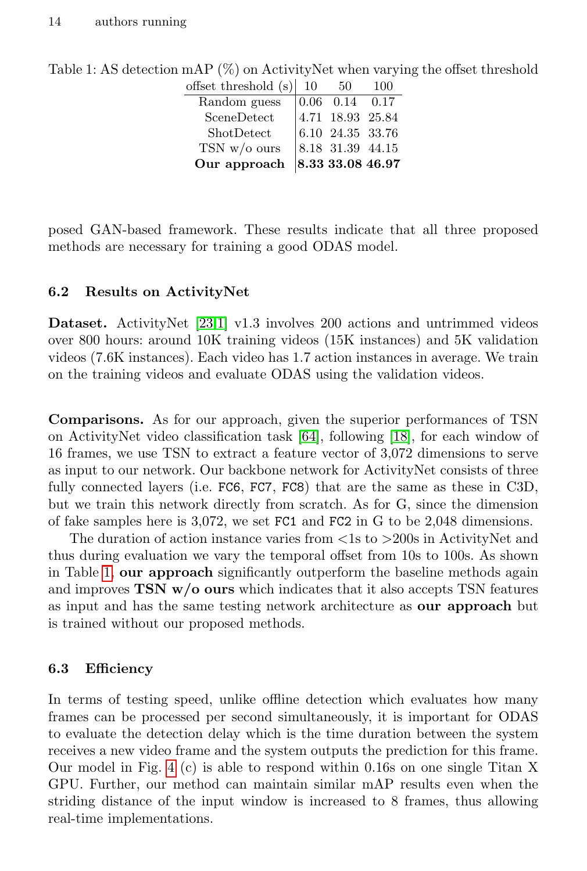| offset threshold (s)<br>-10 | 50 | 100                                                                                                                                                                                 |
|-----------------------------|----|-------------------------------------------------------------------------------------------------------------------------------------------------------------------------------------|
|                             |    |                                                                                                                                                                                     |
|                             |    |                                                                                                                                                                                     |
|                             |    |                                                                                                                                                                                     |
|                             |    |                                                                                                                                                                                     |
|                             |    |                                                                                                                                                                                     |
|                             |    | $\begin{array}{ ccc} 0.06 & 0.14 & 0.17 \end{array}$<br>$\begin{vmatrix} 4.71 & 18.93 & 25.84 \\ 6.10 & 24.35 & 33.76 \end{vmatrix}$<br>$8.18$ 31.39 44.15<br>$ 8.33\;33.08\;46.97$ |

<span id="page-13-0"></span>Table 1: AS detection mAP (%) on ActivityNet when varying the offset threshold

posed GAN-based framework. These results indicate that all three proposed methods are necessary for training a good ODAS model.

### 6.2 Results on ActivityNet

Dataset. ActivityNet [\[23](#page-15-21)[,1\]](#page-15-22) v1.3 involves 200 actions and untrimmed videos over 800 hours: around 10K training videos (15K instances) and 5K validation videos (7.6K instances). Each video has 1.7 action instances in average. We train on the training videos and evaluate ODAS using the validation videos.

Comparisons. As for our approach, given the superior performances of TSN on ActivityNet video classification task [\[64\]](#page-17-8), following [\[18\]](#page-15-6), for each window of 16 frames, we use TSN to extract a feature vector of 3,072 dimensions to serve as input to our network. Our backbone network for ActivityNet consists of three fully connected layers (i.e. FC6, FC7, FC8) that are the same as these in C3D, but we train this network directly from scratch. As for G, since the dimension of fake samples here is 3,072, we set FC1 and FC2 in G to be 2,048 dimensions.

The duration of action instance varies from <1s to >200s in ActivityNet and thus during evaluation we vary the temporal offset from 10s to 100s. As shown in Table [1,](#page-13-0) our approach significantly outperform the baseline methods again and improves  $\text{TSN}$  w/o ours which indicates that it also accepts  $\text{TSN}$  features as input and has the same testing network architecture as our approach but is trained without our proposed methods.

### 6.3 Efficiency

In terms of testing speed, unlike offline detection which evaluates how many frames can be processed per second simultaneously, it is important for ODAS to evaluate the detection delay which is the time duration between the system receives a new video frame and the system outputs the prediction for this frame. Our model in Fig. [4](#page-6-0) (c) is able to respond within 0.16s on one single Titan X GPU. Further, our method can maintain similar mAP results even when the striding distance of the input window is increased to 8 frames, thus allowing real-time implementations.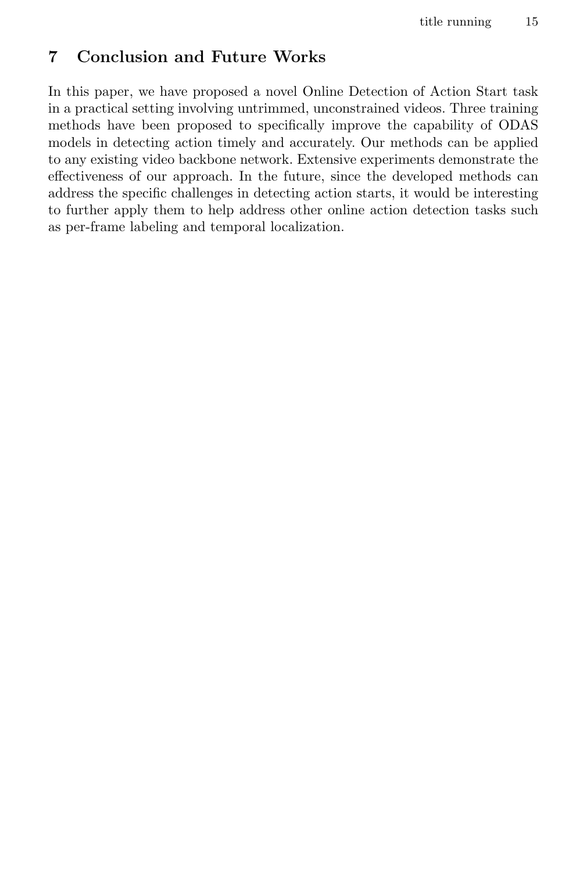# 7 Conclusion and Future Works

In this paper, we have proposed a novel Online Detection of Action Start task in a practical setting involving untrimmed, unconstrained videos. Three training methods have been proposed to specifically improve the capability of ODAS models in detecting action timely and accurately. Our methods can be applied to any existing video backbone network. Extensive experiments demonstrate the effectiveness of our approach. In the future, since the developed methods can address the specific challenges in detecting action starts, it would be interesting to further apply them to help address other online action detection tasks such as per-frame labeling and temporal localization.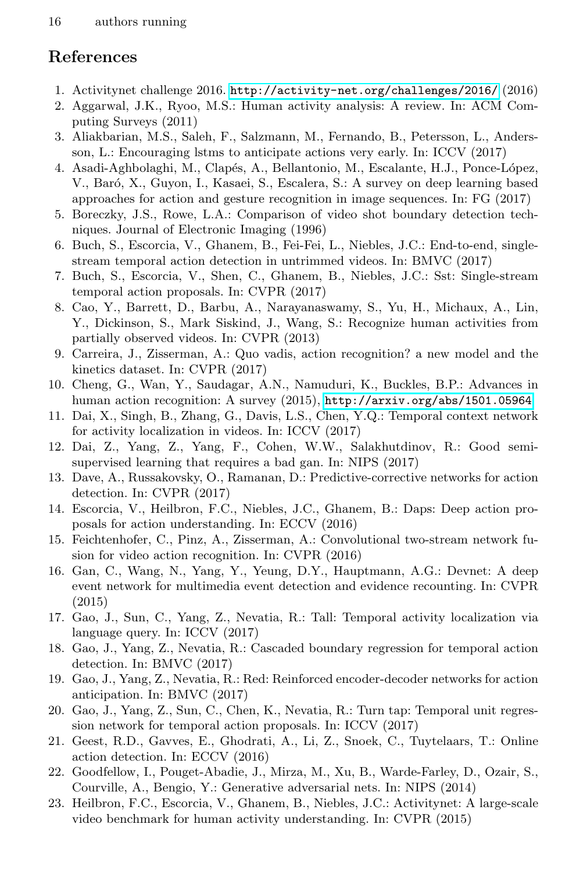# References

- <span id="page-15-22"></span>1. Activitynet challenge 2016. <http://activity-net.org/challenges/2016/> (2016)
- <span id="page-15-13"></span>2. Aggarwal, J.K., Ryoo, M.S.: Human activity analysis: A review. In: ACM Computing Surveys (2011)
- <span id="page-15-17"></span>3. Aliakbarian, M.S., Saleh, F., Salzmann, M., Fernando, B., Petersson, L., Andersson, L.: Encouraging lstms to anticipate actions very early. In: ICCV (2017)
- <span id="page-15-15"></span>4. Asadi-Aghbolaghi, M., Clapés, A., Bellantonio, M., Escalante, H.J., Ponce-López, V., Baró, X., Guyon, I., Kasaei, S., Escalera, S.: A survey on deep learning based approaches for action and gesture recognition in image sequences. In: FG (2017)
- <span id="page-15-20"></span>5. Boreczky, J.S., Rowe, L.A.: Comparison of video shot boundary detection techniques. Journal of Electronic Imaging (1996)
- <span id="page-15-8"></span>6. Buch, S., Escorcia, V., Ghanem, B., Fei-Fei, L., Niebles, J.C.: End-to-end, singlestream temporal action detection in untrimmed videos. In: BMVC (2017)
- <span id="page-15-7"></span>7. Buch, S., Escorcia, V., Shen, C., Ghanem, B., Niebles, J.C.: Sst: Single-stream temporal action proposals. In: CVPR (2017)
- <span id="page-15-16"></span>8. Cao, Y., Barrett, D., Barbu, A., Narayanaswamy, S., Yu, H., Michaux, A., Lin, Y., Dickinson, S., Mark Siskind, J., Wang, S.: Recognize human activities from partially observed videos. In: CVPR (2013)
- <span id="page-15-10"></span>9. Carreira, J., Zisserman, A.: Quo vadis, action recognition? a new model and the kinetics dataset. In: CVPR (2017)
- <span id="page-15-14"></span>10. Cheng, G., Wan, Y., Saudagar, A.N., Namuduri, K., Buckles, B.P.: Advances in human action recognition: A survey (2015), <http://arxiv.org/abs/1501.05964>
- <span id="page-15-5"></span>11. Dai, X., Singh, B., Zhang, G., Davis, L.S., Chen, Y.Q.: Temporal context network for activity localization in videos. In: ICCV (2017)
- <span id="page-15-19"></span>12. Dai, Z., Yang, Z., Yang, F., Cohen, W.W., Salakhutdinov, R.: Good semisupervised learning that requires a bad gan. In: NIPS (2017)
- <span id="page-15-4"></span>13. Dave, A., Russakovsky, O., Ramanan, D.: Predictive-corrective networks for action detection. In: CVPR (2017)
- <span id="page-15-2"></span>14. Escorcia, V., Heilbron, F.C., Niebles, J.C., Ghanem, B.: Daps: Deep action proposals for action understanding. In: ECCV (2016)
- <span id="page-15-12"></span>15. Feichtenhofer, C., Pinz, A., Zisserman, A.: Convolutional two-stream network fusion for video action recognition. In: CVPR (2016)
- <span id="page-15-11"></span>16. Gan, C., Wang, N., Yang, Y., Yeung, D.Y., Hauptmann, A.G.: Devnet: A deep event network for multimedia event detection and evidence recounting. In: CVPR (2015)
- <span id="page-15-9"></span>17. Gao, J., Sun, C., Yang, Z., Nevatia, R.: Tall: Temporal activity localization via language query. In: ICCV (2017)
- <span id="page-15-6"></span>18. Gao, J., Yang, Z., Nevatia, R.: Cascaded boundary regression for temporal action detection. In: BMVC (2017)
- <span id="page-15-1"></span>19. Gao, J., Yang, Z., Nevatia, R.: Red: Reinforced encoder-decoder networks for action anticipation. In: BMVC (2017)
- <span id="page-15-3"></span>20. Gao, J., Yang, Z., Sun, C., Chen, K., Nevatia, R.: Turn tap: Temporal unit regression network for temporal action proposals. In: ICCV (2017)
- <span id="page-15-0"></span>21. Geest, R.D., Gavves, E., Ghodrati, A., Li, Z., Snoek, C., Tuytelaars, T.: Online action detection. In: ECCV (2016)
- <span id="page-15-18"></span>22. Goodfellow, I., Pouget-Abadie, J., Mirza, M., Xu, B., Warde-Farley, D., Ozair, S., Courville, A., Bengio, Y.: Generative adversarial nets. In: NIPS (2014)
- <span id="page-15-21"></span>23. Heilbron, F.C., Escorcia, V., Ghanem, B., Niebles, J.C.: Activitynet: A large-scale video benchmark for human activity understanding. In: CVPR (2015)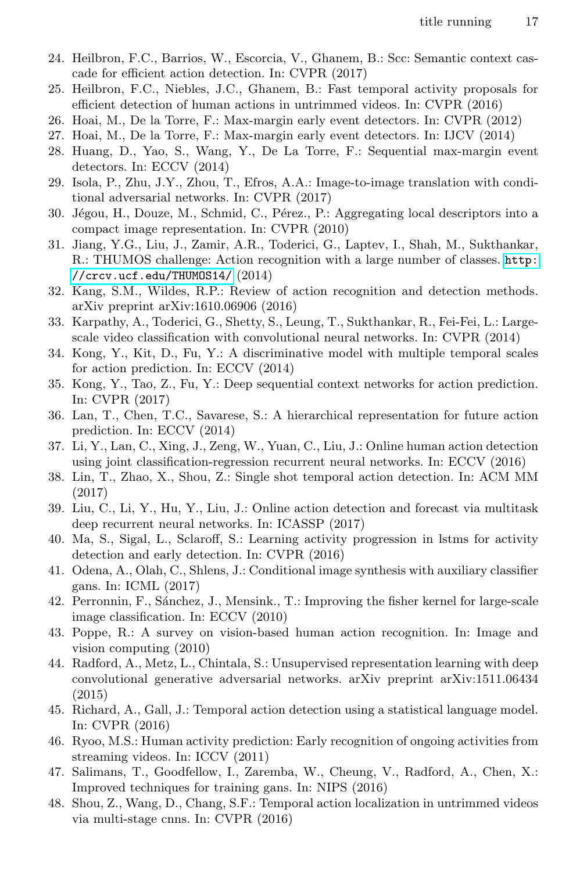- <span id="page-16-6"></span>24. Heilbron, F.C., Barrios, W., Escorcia, V., Ghanem, B.: Scc: Semantic context cascade for efficient action detection. In: CVPR (2017)
- <span id="page-16-2"></span>25. Heilbron, F.C., Niebles, J.C., Ghanem, B.: Fast temporal activity proposals for efficient detection of human actions in untrimmed videos. In: CVPR (2016)
- <span id="page-16-0"></span>26. Hoai, M., De la Torre, F.: Max-margin early event detectors. In: CVPR (2012)
- <span id="page-16-1"></span>27. Hoai, M., De la Torre, F.: Max-margin early event detectors. In: IJCV (2014)
- <span id="page-16-15"></span>28. Huang, D., Yao, S., Wang, Y., De La Torre, F.: Sequential max-margin event detectors. In: ECCV (2014)
- <span id="page-16-20"></span>29. Isola, P., Zhu, J.Y., Zhou, T., Efros, A.A.: Image-to-image translation with conditional adversarial networks. In: CVPR (2017)
- <span id="page-16-8"></span>30. Jégou, H., Douze, M., Schmid, C., Pérez., P.: Aggregating local descriptors into a compact image representation. In: CVPR (2010)
- <span id="page-16-23"></span>31. Jiang, Y.G., Liu, J., Zamir, A.R., Toderici, G., Laptev, I., Shah, M., Sukthankar, R.: THUMOS challenge: Action recognition with a large number of classes. [http:](http://crcv.ucf.edu/THUMOS14/) [//crcv.ucf.edu/THUMOS14/](http://crcv.ucf.edu/THUMOS14/) (2014)
- <span id="page-16-10"></span>32. Kang, S.M., Wildes, R.P.: Review of action recognition and detection methods. arXiv preprint arXiv:1610.06906 (2016)
- <span id="page-16-24"></span>33. Karpathy, A., Toderici, G., Shetty, S., Leung, T., Sukthankar, R., Fei-Fei, L.: Largescale video classification with convolutional neural networks. In: CVPR (2014)
- <span id="page-16-11"></span>34. Kong, Y., Kit, D., Fu, Y.: A discriminative model with multiple temporal scales for action prediction. In: ECCV (2014)
- <span id="page-16-13"></span>35. Kong, Y., Tao, Z., Fu, Y.: Deep sequential context networks for action prediction. In: CVPR (2017)
- <span id="page-16-14"></span>36. Lan, T., Chen, T.C., Savarese, S.: A hierarchical representation for future action prediction. In: ECCV (2014)
- <span id="page-16-17"></span>37. Li, Y., Lan, C., Xing, J., Zeng, W., Yuan, C., Liu, J.: Online human action detection using joint classification-regression recurrent neural networks. In: ECCV (2016)
- <span id="page-16-5"></span>38. Lin, T., Zhao, X., Shou, Z.: Single shot temporal action detection. In: ACM MM (2017)
- <span id="page-16-18"></span>39. Liu, C., Li, Y., Hu, Y., Liu, J.: Online action detection and forecast via multitask deep recurrent neural networks. In: ICASSP (2017)
- <span id="page-16-16"></span>40. Ma, S., Sigal, L., Sclaroff, S.: Learning activity progression in lstms for activity detection and early detection. In: CVPR (2016)
- <span id="page-16-19"></span>41. Odena, A., Olah, C., Shlens, J.: Conditional image synthesis with auxiliary classifier gans. In: ICML (2017)
- <span id="page-16-7"></span>42. Perronnin, F., S´anchez, J., Mensink., T.: Improving the fisher kernel for large-scale image classification. In: ECCV (2010)
- <span id="page-16-9"></span>43. Poppe, R.: A survey on vision-based human action recognition. In: Image and vision computing (2010)
- <span id="page-16-21"></span>44. Radford, A., Metz, L., Chintala, S.: Unsupervised representation learning with deep convolutional generative adversarial networks. arXiv preprint arXiv:1511.06434 (2015)
- <span id="page-16-3"></span>45. Richard, A., Gall, J.: Temporal action detection using a statistical language model. In: CVPR (2016)
- <span id="page-16-12"></span>46. Ryoo, M.S.: Human activity prediction: Early recognition of ongoing activities from streaming videos. In: ICCV (2011)
- <span id="page-16-22"></span>47. Salimans, T., Goodfellow, I., Zaremba, W., Cheung, V., Radford, A., Chen, X.: Improved techniques for training gans. In: NIPS (2016)
- <span id="page-16-4"></span>48. Shou, Z., Wang, D., Chang, S.F.: Temporal action localization in untrimmed videos via multi-stage cnns. In: CVPR (2016)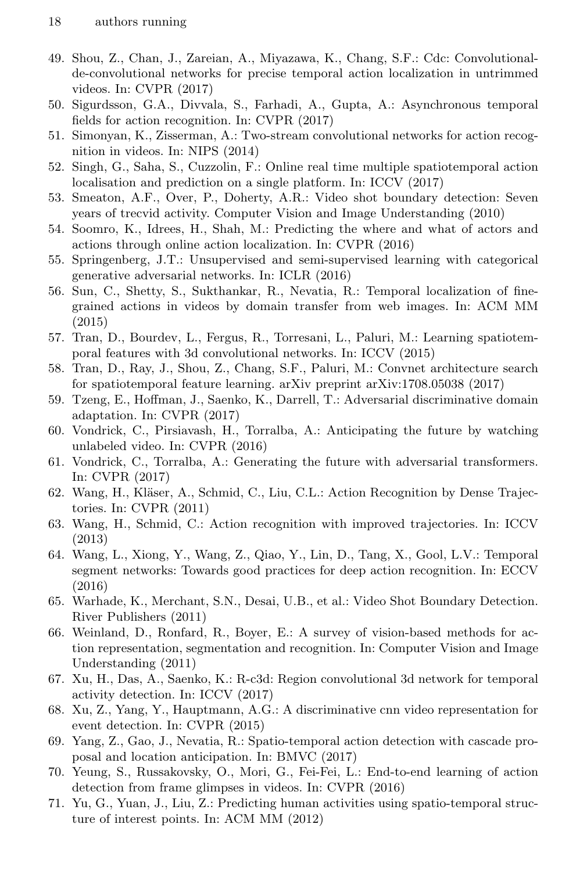- <span id="page-17-1"></span>49. Shou, Z., Chan, J., Zareian, A., Miyazawa, K., Chang, S.F.: Cdc: Convolutionalde-convolutional networks for precise temporal action localization in untrimmed videos. In: CVPR (2017)
- <span id="page-17-4"></span>50. Sigurdsson, G.A., Divvala, S., Farhadi, A., Gupta, A.: Asynchronous temporal fields for action recognition. In: CVPR (2017)
- <span id="page-17-11"></span>51. Simonyan, K., Zisserman, A.: Two-stream convolutional networks for action recognition in videos. In: NIPS (2014)
- <span id="page-17-15"></span>52. Singh, G., Saha, S., Cuzzolin, F.: Online real time multiple spatiotemporal action localisation and prediction on a single platform. In: ICCV (2017)
- <span id="page-17-22"></span>53. Smeaton, A.F., Over, P., Doherty, A.R.: Video shot boundary detection: Seven years of trecvid activity. Computer Vision and Image Understanding (2010)
- <span id="page-17-16"></span>54. Soomro, K., Idrees, H., Shah, M.: Predicting the where and what of actors and actions through online action localization. In: CVPR (2016)
- <span id="page-17-20"></span>55. Springenberg, J.T.: Unsupervised and semi-supervised learning with categorical generative adversarial networks. In: ICLR (2016)
- <span id="page-17-3"></span>56. Sun, C., Shetty, S., Sukthankar, R., Nevatia, R.: Temporal localization of finegrained actions in videos by domain transfer from web images. In: ACM MM (2015)
- <span id="page-17-6"></span>57. Tran, D., Bourdev, L., Fergus, R., Torresani, L., Paluri, M.: Learning spatiotemporal features with 3d convolutional networks. In: ICCV (2015)
- <span id="page-17-7"></span>58. Tran, D., Ray, J., Shou, Z., Chang, S.F., Paluri, M.: Convnet architecture search for spatiotemporal feature learning. arXiv preprint arXiv:1708.05038 (2017)
- <span id="page-17-19"></span>59. Tzeng, E., Hoffman, J., Saenko, K., Darrell, T.: Adversarial discriminative domain adaptation. In: CVPR (2017)
- <span id="page-17-17"></span>60. Vondrick, C., Pirsiavash, H., Torralba, A.: Anticipating the future by watching unlabeled video. In: CVPR (2016)
- <span id="page-17-18"></span>61. Vondrick, C., Torralba, A.: Generating the future with adversarial transformers. In: CVPR (2017)
- <span id="page-17-9"></span>62. Wang, H., Kläser, A., Schmid, C., Liu, C.L.: Action Recognition by Dense Trajectories. In: CVPR (2011)
- <span id="page-17-10"></span>63. Wang, H., Schmid, C.: Action recognition with improved trajectories. In: ICCV (2013)
- <span id="page-17-8"></span>64. Wang, L., Xiong, Y., Wang, Z., Qiao, Y., Lin, D., Tang, X., Gool, L.V.: Temporal segment networks: Towards good practices for deep action recognition. In: ECCV (2016)
- <span id="page-17-21"></span>65. Warhade, K., Merchant, S.N., Desai, U.B., et al.: Video Shot Boundary Detection. River Publishers (2011)
- <span id="page-17-13"></span>66. Weinland, D., Ronfard, R., Boyer, E.: A survey of vision-based methods for action representation, segmentation and recognition. In: Computer Vision and Image Understanding (2011)
- <span id="page-17-2"></span>67. Xu, H., Das, A., Saenko, K.: R-c3d: Region convolutional 3d network for temporal activity detection. In: ICCV (2017)
- <span id="page-17-12"></span>68. Xu, Z., Yang, Y., Hauptmann, A.G.: A discriminative cnn video representation for event detection. In: CVPR (2015)
- <span id="page-17-5"></span>69. Yang, Z., Gao, J., Nevatia, R.: Spatio-temporal action detection with cascade proposal and location anticipation. In: BMVC (2017)
- <span id="page-17-0"></span>70. Yeung, S., Russakovsky, O., Mori, G., Fei-Fei, L.: End-to-end learning of action detection from frame glimpses in videos. In: CVPR (2016)
- <span id="page-17-14"></span>71. Yu, G., Yuan, J., Liu, Z.: Predicting human activities using spatio-temporal structure of interest points. In: ACM MM (2012)